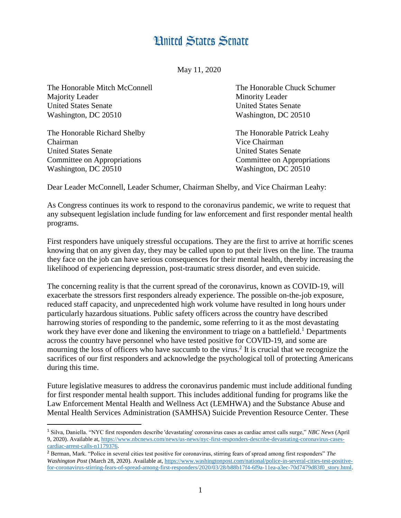## **Hnited States Senate**

May 11, 2020

The Honorable Mitch McConnell The Honorable Chuck Schumer Majority Leader Minority Leader United States Senate United States Senate Washington, DC 20510 Washington, DC 20510

The Honorable Richard Shelby The Honorable Patrick Leahy Chairman Vice Chairman United States Senate United States Senate Committee on Appropriations Committee on Appropriations Washington, DC 20510 Washington, DC 20510

l

Dear Leader McConnell, Leader Schumer, Chairman Shelby, and Vice Chairman Leahy:

As Congress continues its work to respond to the coronavirus pandemic, we write to request that any subsequent legislation include funding for law enforcement and first responder mental health programs.

First responders have uniquely stressful occupations. They are the first to arrive at horrific scenes knowing that on any given day, they may be called upon to put their lives on the line. The trauma they face on the job can have serious consequences for their mental health, thereby increasing the likelihood of experiencing depression, post-traumatic stress disorder, and even suicide.

The concerning reality is that the current spread of the coronavirus, known as COVID-19, will exacerbate the stressors first responders already experience. The possible on-the-job exposure, reduced staff capacity, and unprecedented high work volume have resulted in long hours under particularly hazardous situations. Public safety officers across the country have described harrowing stories of responding to the pandemic, some referring to it as the most devastating work they have ever done and likening the environment to triage on a battlefield.<sup>1</sup> Departments across the country have personnel who have tested positive for COVID-19, and some are mourning the loss of officers who have succumb to the virus.<sup>2</sup> It is crucial that we recognize the sacrifices of our first responders and acknowledge the psychological toll of protecting Americans during this time.

Future legislative measures to address the coronavirus pandemic must include additional funding for first responder mental health support. This includes additional funding for programs like the Law Enforcement Mental Health and Wellness Act (LEMHWA) and the Substance Abuse and Mental Health Services Administration (SAMHSA) Suicide Prevention Resource Center. These

<sup>1</sup> Silva, Daniella. "NYC first responders describe 'devastating' coronavirus cases as cardiac arrest calls surge," *NBC News* (April 9, 2020). Available at[, https://www.nbcnews.com/news/us-news/nyc-first-responders-describe-devastating-coronavirus-cases](https://www.nbcnews.com/news/us-news/nyc-first-responders-describe-devastating-coronavirus-cases-cardiac-arrest-calls-n1179376)cardiac-arrest-calls-n1179376.

<sup>2</sup> Berman, Mark. "Police in several cities test positive for coronavirus, stirring fears of spread among first responders" *The Washington Post* (March 28, 2020). Available at, [https://www.washingtonpost.com/national/police-in-several-cities-test-positive](https://www.washingtonpost.com/national/police-in-several-cities-test-positive-for-coronavirus-stirring-fears-of-spread-among-first-responders/2020/03/28/b88b17f4-6f9a-11ea-a3ec-70d7479d83f0_story.html)[for-coronavirus-stirring-fears-of-spread-among-first-responders/2020/03/28/b88b17f4-6f9a-11ea-a3ec-70d7479d83f0\\_story.html.](https://www.washingtonpost.com/national/police-in-several-cities-test-positive-for-coronavirus-stirring-fears-of-spread-among-first-responders/2020/03/28/b88b17f4-6f9a-11ea-a3ec-70d7479d83f0_story.html)